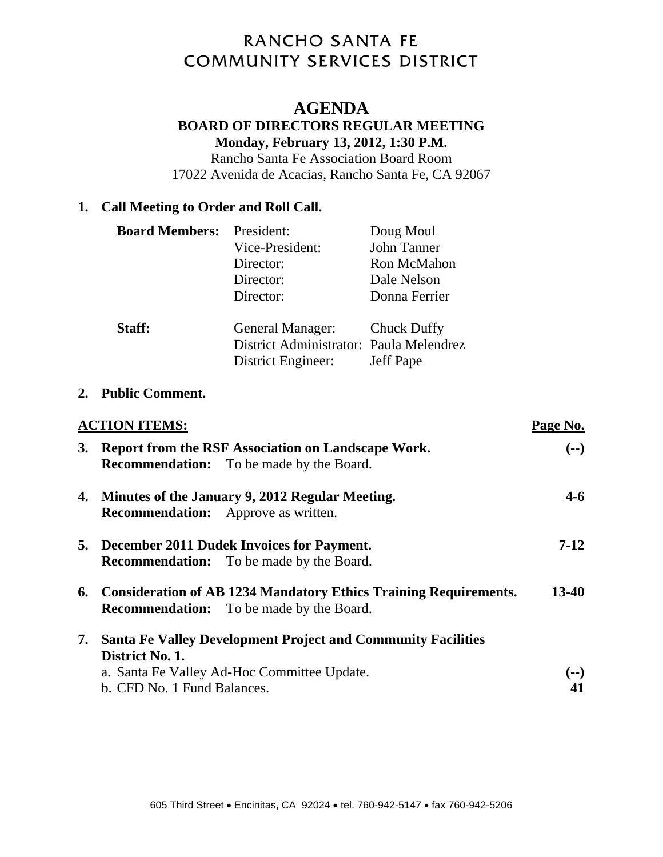# RANCHO SANTA FE **COMMUNITY SERVICES DISTRICT**

## **AGENDA**

### **BOARD OF DIRECTORS REGULAR MEETING Monday, February 13, 2012, 1:30 P.M.**

Rancho Santa Fe Association Board Room 17022 Avenida de Acacias, Rancho Santa Fe, CA 92067

## **1. Call Meeting to Order and Roll Call.**

| <b>Board Members:</b> President: |                                         | Doug Moul        |
|----------------------------------|-----------------------------------------|------------------|
|                                  | Vice-President:                         | John Tanner      |
|                                  | Director:                               | Ron McMahon      |
|                                  | Director:                               | Dale Nelson      |
|                                  | Director:                               | Donna Ferrier    |
| Staff:                           | General Manager:                        | Chuck Duffy      |
|                                  | District Administrator: Paula Melendrez |                  |
|                                  | District Engineer:                      | <b>Jeff Pape</b> |

#### **2. Public Comment.**

|           | <b>ACTION ITEMS:</b>                                                                                                   | Page No.          |
|-----------|------------------------------------------------------------------------------------------------------------------------|-------------------|
| <b>3.</b> | Report from the RSF Association on Landscape Work.<br><b>Recommendation:</b> To be made by the Board.                  | $(--)$            |
|           | 4. Minutes of the January 9, 2012 Regular Meeting.<br><b>Recommendation:</b> Approve as written.                       | $4 - 6$           |
|           | 5. December 2011 Dudek Invoices for Payment.<br><b>Recommendation:</b> To be made by the Board.                        | $7-12$            |
|           | 6. Consideration of AB 1234 Mandatory Ethics Training Requirements.<br><b>Recommendation:</b> To be made by the Board. | 13-40             |
| 7.        | <b>Santa Fe Valley Development Project and Community Facilities</b><br>District No. 1.                                 |                   |
|           | a. Santa Fe Valley Ad-Hoc Committee Update.<br>b. CFD No. 1 Fund Balances.                                             | $\left( -\right)$ |